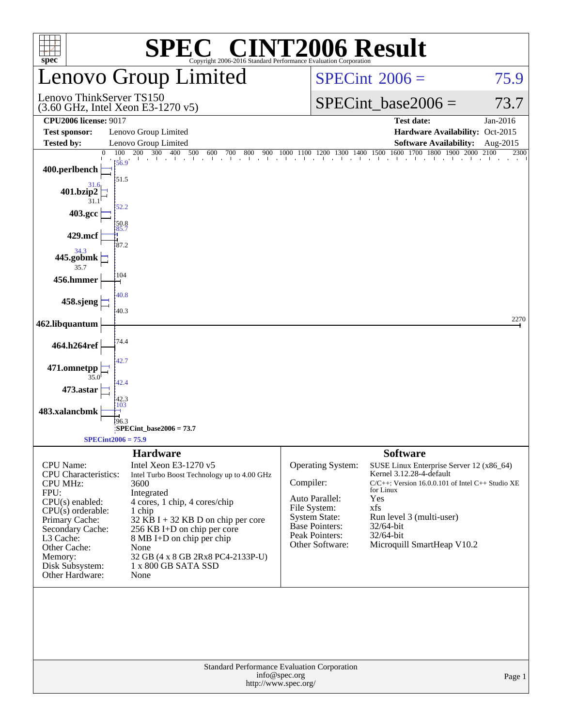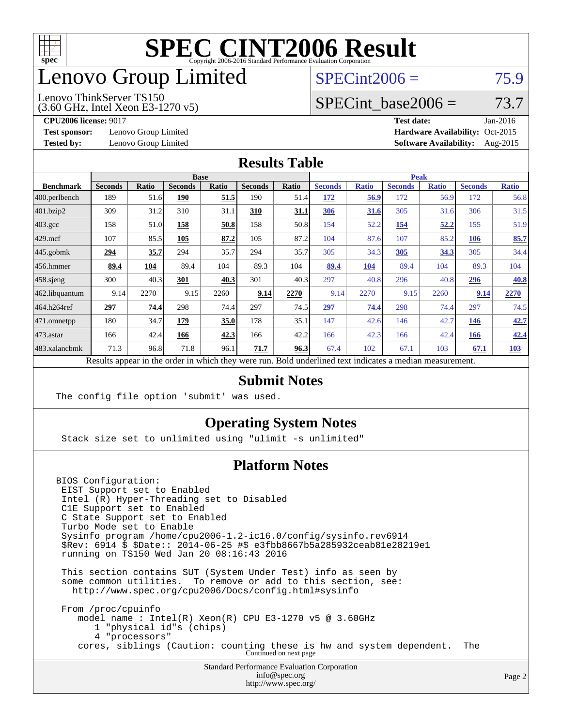

### enovo Group Limited

### $SPECint2006 = 75.9$  $SPECint2006 = 75.9$

(3.60 GHz, Intel Xeon E3-1270 v5) Lenovo ThinkServer TS150

SPECint base2006 =  $73.7$ 

**[Test sponsor:](http://www.spec.org/auto/cpu2006/Docs/result-fields.html#Testsponsor)** Lenovo Group Limited **[Hardware Availability:](http://www.spec.org/auto/cpu2006/Docs/result-fields.html#HardwareAvailability)** Oct-2015

**[CPU2006 license:](http://www.spec.org/auto/cpu2006/Docs/result-fields.html#CPU2006license)** 9017 **[Test date:](http://www.spec.org/auto/cpu2006/Docs/result-fields.html#Testdate)** Jan-2016 **[Tested by:](http://www.spec.org/auto/cpu2006/Docs/result-fields.html#Testedby)** Lenovo Group Limited **[Software Availability:](http://www.spec.org/auto/cpu2006/Docs/result-fields.html#SoftwareAvailability)** Aug-2015

#### **[Results Table](http://www.spec.org/auto/cpu2006/Docs/result-fields.html#ResultsTable)**

|                                                                                                          | <b>Base</b>    |       |                |       |                |       | <b>Peak</b>    |              |                |              |                |              |  |
|----------------------------------------------------------------------------------------------------------|----------------|-------|----------------|-------|----------------|-------|----------------|--------------|----------------|--------------|----------------|--------------|--|
| <b>Benchmark</b>                                                                                         | <b>Seconds</b> | Ratio | <b>Seconds</b> | Ratio | <b>Seconds</b> | Ratio | <b>Seconds</b> | <b>Ratio</b> | <b>Seconds</b> | <b>Ratio</b> | <b>Seconds</b> | <b>Ratio</b> |  |
| $ 400.\text{perlbench}$                                                                                  | 189            | 51.6  | 190            | 51.5  | 190            | 51.4  | 172            | 56.9         | 172            | 56.9         | 172            | 56.8         |  |
| 401.bzip2                                                                                                | 309            | 31.2  | 310            | 31.1  | 310            | 31.1  | 306            | 31.6         | 305            | 31.6         | 306            | 31.5         |  |
| $403.\text{gcc}$                                                                                         | 158            | 51.0  | 158            | 50.8  | 158            | 50.8  | 154            | 52.2         | 154            | <u>52.2</u>  | 155            | 51.9         |  |
| $429$ .mcf                                                                                               | 107            | 85.5  | 105            | 87.2  | 105            | 87.2  | 104            | 87.6         | 107            | 85.2         | <b>106</b>     | 85.7         |  |
| $445$ .gobmk                                                                                             | 294            | 35.7  | 294            | 35.7  | 294            | 35.7  | 305            | 34.3         | 305            | 34.3         | 305            | 34.4         |  |
| $456.$ hmmer                                                                                             | 89.4           | 104   | 89.4           | 104   | 89.3           | 104   | 89.4           | 104          | 89.4           | 104          | 89.3           | 104          |  |
| $458$ .sjeng                                                                                             | 300            | 40.3  | 301            | 40.3  | 301            | 40.3  | 297            | 40.8         | 296            | 40.8         | 296            | 40.8         |  |
| 462.libquantum                                                                                           | 9.14           | 2270  | 9.15           | 2260  | 9.14           | 2270  | 9.14           | 2270         | 9.15           | 2260         | 9.14           | 2270         |  |
| 464.h264ref                                                                                              | 297            | 74.4  | 298            | 74.4  | 297            | 74.5  | 297            | 74.4         | 298            | 74.4         | 297            | 74.5         |  |
| 471.omnetpp                                                                                              | 180            | 34.7  | 179            | 35.0  | 178            | 35.1  | 147            | 42.6         | 146            | 42.7         | 146            | 42.7         |  |
| $473$ . astar                                                                                            | 166            | 42.4  | 166            | 42.3  | 166            | 42.2  | 166            | 42.3         | 166            | 42.4         | <b>166</b>     | 42.4         |  |
| 483.xalancbmk                                                                                            | 71.3           | 96.8  | 71.8           | 96.1  | 71.7           | 96.3  | 67.4           | 102          | 67.1           | 103          | 67.1           | 103          |  |
| Results appear in the order in which they were run. Bold underlined text indicates a median measurement. |                |       |                |       |                |       |                |              |                |              |                |              |  |

#### **[Submit Notes](http://www.spec.org/auto/cpu2006/Docs/result-fields.html#SubmitNotes)**

The config file option 'submit' was used.

### **[Operating System Notes](http://www.spec.org/auto/cpu2006/Docs/result-fields.html#OperatingSystemNotes)**

Stack size set to unlimited using "ulimit -s unlimited"

### **[Platform Notes](http://www.spec.org/auto/cpu2006/Docs/result-fields.html#PlatformNotes)**

BIOS Configuration: EIST Support set to Enabled Intel (R) Hyper-Threading set to Disabled C1E Support set to Enabled C State Support set to Enabled Turbo Mode set to Enable Sysinfo program /home/cpu2006-1.2-ic16.0/config/sysinfo.rev6914 \$Rev: 6914 \$ \$Date:: 2014-06-25 #\$ e3fbb8667b5a285932ceab81e28219e1 running on TS150 Wed Jan 20 08:16:43 2016 This section contains SUT (System Under Test) info as seen by some common utilities. To remove or add to this section, see: <http://www.spec.org/cpu2006/Docs/config.html#sysinfo> From /proc/cpuinfo

 model name : Intel(R) Xeon(R) CPU E3-1270 v5 @ 3.60GHz 1 "physical id"s (chips) 4 "processors" cores, siblings (Caution: counting these is hw and system dependent. The Continued on next page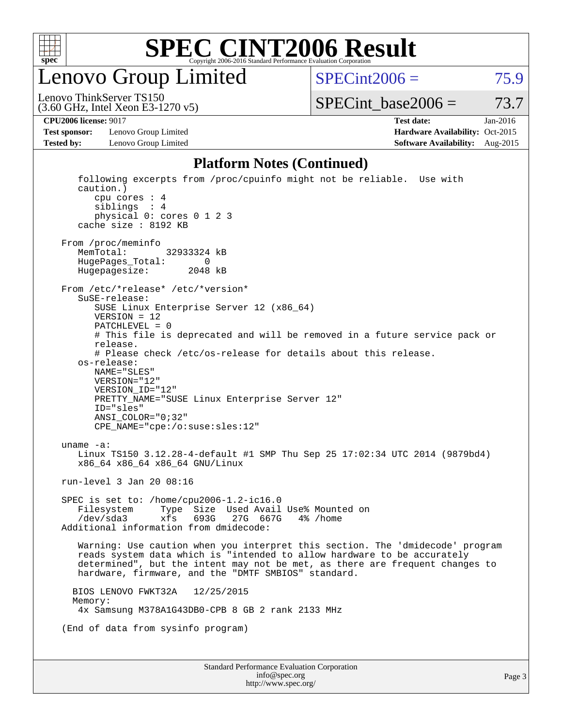

Lenovo Group Limited

 $SPECint2006 = 75.9$  $SPECint2006 = 75.9$ 

(3.60 GHz, Intel Xeon E3-1270 v5) Lenovo ThinkServer TS150

 $SPECTnt\_base2006 = 73.7$ 

**[Test sponsor:](http://www.spec.org/auto/cpu2006/Docs/result-fields.html#Testsponsor)** Lenovo Group Limited **[Hardware Availability:](http://www.spec.org/auto/cpu2006/Docs/result-fields.html#HardwareAvailability)** Oct-2015

**[CPU2006 license:](http://www.spec.org/auto/cpu2006/Docs/result-fields.html#CPU2006license)** 9017 **[Test date:](http://www.spec.org/auto/cpu2006/Docs/result-fields.html#Testdate)** Jan-2016 **[Tested by:](http://www.spec.org/auto/cpu2006/Docs/result-fields.html#Testedby)** Lenovo Group Limited **[Software Availability:](http://www.spec.org/auto/cpu2006/Docs/result-fields.html#SoftwareAvailability)** Aug-2015

### **[Platform Notes \(Continued\)](http://www.spec.org/auto/cpu2006/Docs/result-fields.html#PlatformNotes)**

| Standard Performance Evaluation Corporation<br>info@spec.org                                                                                                                                                                                                                                    |  |  |  |  |  |
|-------------------------------------------------------------------------------------------------------------------------------------------------------------------------------------------------------------------------------------------------------------------------------------------------|--|--|--|--|--|
|                                                                                                                                                                                                                                                                                                 |  |  |  |  |  |
| (End of data from sysinfo program)                                                                                                                                                                                                                                                              |  |  |  |  |  |
| 12/25/2015<br>BIOS LENOVO FWKT32A<br>Memory:<br>4x Samsung M378A1G43DB0-CPB 8 GB 2 rank 2133 MHz                                                                                                                                                                                                |  |  |  |  |  |
| Warning: Use caution when you interpret this section. The 'dmidecode' program<br>reads system data which is "intended to allow hardware to be accurately<br>determined", but the intent may not be met, as there are frequent changes to<br>hardware, firmware, and the "DMTF SMBIOS" standard. |  |  |  |  |  |
| SPEC is set to: /home/cpu2006-1.2-ic16.0<br>Filesystem<br>Type Size Used Avail Use% Mounted on<br>/dev/sda3<br>xfs<br>693G<br>27G 667G 4% / home<br>Additional information from dmidecode:                                                                                                      |  |  |  |  |  |
| run-level 3 Jan 20 08:16                                                                                                                                                                                                                                                                        |  |  |  |  |  |
| uname $-a$ :<br>Linux TS150 3.12.28-4-default #1 SMP Thu Sep 25 17:02:34 UTC 2014 (9879bd4)<br>x86_64 x86_64 x86_64 GNU/Linux                                                                                                                                                                   |  |  |  |  |  |
| NAME="SLES"<br>VERSION="12"<br>VERSION ID="12"<br>PRETTY_NAME="SUSE Linux Enterprise Server 12"<br>ID="sles"<br>$ANSI\_COLOR = "0; 32"$<br>CPE_NAME="cpe:/o:suse:sles:12"                                                                                                                       |  |  |  |  |  |
| SuSE-release:<br>SUSE Linux Enterprise Server 12 (x86_64)<br>$VERSION = 12$<br>$PATCHLEVEL = 0$<br># This file is deprecated and will be removed in a future service pack or<br>release.<br># Please check /etc/os-release for details about this release.<br>os-release:                       |  |  |  |  |  |
| From /proc/meminfo<br>MemTotal:<br>32933324 kB<br>HugePages_Total:<br>0<br>Hugepagesize: 2048 kB<br>From /etc/*release* /etc/*version*                                                                                                                                                          |  |  |  |  |  |
| following excerpts from /proc/cpuinfo might not be reliable. Use with<br>caution.)<br>cpu cores $: 4$<br>siblings : 4<br>physical 0: cores 0 1 2 3<br>cache size : 8192 KB                                                                                                                      |  |  |  |  |  |

<http://www.spec.org/>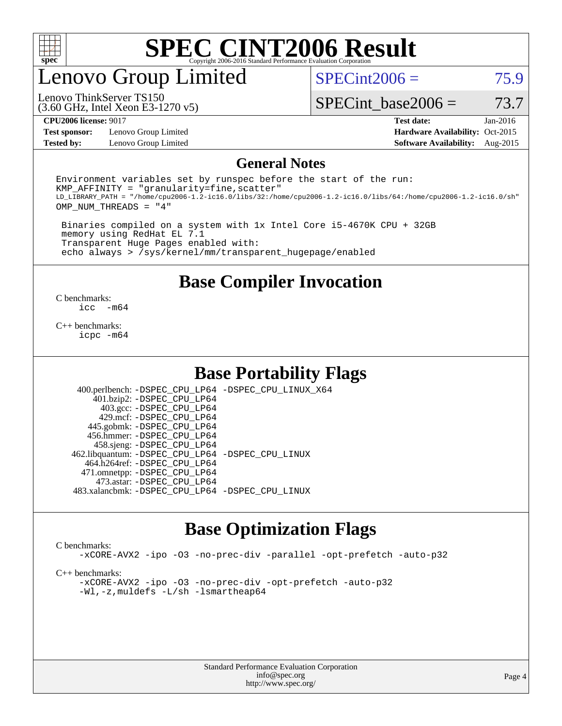

### enovo Group Limited

 $SPECint2006 = 75.9$  $SPECint2006 = 75.9$ 

(3.60 GHz, Intel Xeon E3-1270 v5) Lenovo ThinkServer TS150

SPECint base2006 =  $73.7$ 

**[Test sponsor:](http://www.spec.org/auto/cpu2006/Docs/result-fields.html#Testsponsor)** Lenovo Group Limited **[Hardware Availability:](http://www.spec.org/auto/cpu2006/Docs/result-fields.html#HardwareAvailability)** Oct-2015

**[CPU2006 license:](http://www.spec.org/auto/cpu2006/Docs/result-fields.html#CPU2006license)** 9017 **[Test date:](http://www.spec.org/auto/cpu2006/Docs/result-fields.html#Testdate)** Jan-2016 **[Tested by:](http://www.spec.org/auto/cpu2006/Docs/result-fields.html#Testedby)** Lenovo Group Limited **[Software Availability:](http://www.spec.org/auto/cpu2006/Docs/result-fields.html#SoftwareAvailability)** Aug-2015

#### **[General Notes](http://www.spec.org/auto/cpu2006/Docs/result-fields.html#GeneralNotes)**

Environment variables set by runspec before the start of the run:  $KMP$  AFFINITY = "granularity=fine, scatter" LD\_LIBRARY\_PATH = "/home/cpu2006-1.2-ic16.0/libs/32:/home/cpu2006-1.2-ic16.0/libs/64:/home/cpu2006-1.2-ic16.0/sh" OMP\_NUM\_THREADS = "4"

 Binaries compiled on a system with 1x Intel Core i5-4670K CPU + 32GB memory using RedHat EL 7.1 Transparent Huge Pages enabled with: echo always > /sys/kernel/mm/transparent\_hugepage/enabled

**[Base Compiler Invocation](http://www.spec.org/auto/cpu2006/Docs/result-fields.html#BaseCompilerInvocation)**

 $\frac{C \text{ benchmarks:}}{C \text{ C}}$ -m64

[C++ benchmarks:](http://www.spec.org/auto/cpu2006/Docs/result-fields.html#CXXbenchmarks) [icpc -m64](http://www.spec.org/cpu2006/results/res2016q1/cpu2006-20160125-38864.flags.html#user_CXXbase_intel_icpc_64bit_fc66a5337ce925472a5c54ad6a0de310)

### **[Base Portability Flags](http://www.spec.org/auto/cpu2006/Docs/result-fields.html#BasePortabilityFlags)**

 400.perlbench: [-DSPEC\\_CPU\\_LP64](http://www.spec.org/cpu2006/results/res2016q1/cpu2006-20160125-38864.flags.html#b400.perlbench_basePORTABILITY_DSPEC_CPU_LP64) [-DSPEC\\_CPU\\_LINUX\\_X64](http://www.spec.org/cpu2006/results/res2016q1/cpu2006-20160125-38864.flags.html#b400.perlbench_baseCPORTABILITY_DSPEC_CPU_LINUX_X64) 401.bzip2: [-DSPEC\\_CPU\\_LP64](http://www.spec.org/cpu2006/results/res2016q1/cpu2006-20160125-38864.flags.html#suite_basePORTABILITY401_bzip2_DSPEC_CPU_LP64) 403.gcc: [-DSPEC\\_CPU\\_LP64](http://www.spec.org/cpu2006/results/res2016q1/cpu2006-20160125-38864.flags.html#suite_basePORTABILITY403_gcc_DSPEC_CPU_LP64) 429.mcf: [-DSPEC\\_CPU\\_LP64](http://www.spec.org/cpu2006/results/res2016q1/cpu2006-20160125-38864.flags.html#suite_basePORTABILITY429_mcf_DSPEC_CPU_LP64) 445.gobmk: [-DSPEC\\_CPU\\_LP64](http://www.spec.org/cpu2006/results/res2016q1/cpu2006-20160125-38864.flags.html#suite_basePORTABILITY445_gobmk_DSPEC_CPU_LP64) 456.hmmer: [-DSPEC\\_CPU\\_LP64](http://www.spec.org/cpu2006/results/res2016q1/cpu2006-20160125-38864.flags.html#suite_basePORTABILITY456_hmmer_DSPEC_CPU_LP64) 458.sjeng: [-DSPEC\\_CPU\\_LP64](http://www.spec.org/cpu2006/results/res2016q1/cpu2006-20160125-38864.flags.html#suite_basePORTABILITY458_sjeng_DSPEC_CPU_LP64) 462.libquantum: [-DSPEC\\_CPU\\_LP64](http://www.spec.org/cpu2006/results/res2016q1/cpu2006-20160125-38864.flags.html#suite_basePORTABILITY462_libquantum_DSPEC_CPU_LP64) [-DSPEC\\_CPU\\_LINUX](http://www.spec.org/cpu2006/results/res2016q1/cpu2006-20160125-38864.flags.html#b462.libquantum_baseCPORTABILITY_DSPEC_CPU_LINUX) 464.h264ref: [-DSPEC\\_CPU\\_LP64](http://www.spec.org/cpu2006/results/res2016q1/cpu2006-20160125-38864.flags.html#suite_basePORTABILITY464_h264ref_DSPEC_CPU_LP64) 471.omnetpp: [-DSPEC\\_CPU\\_LP64](http://www.spec.org/cpu2006/results/res2016q1/cpu2006-20160125-38864.flags.html#suite_basePORTABILITY471_omnetpp_DSPEC_CPU_LP64) 473.astar: [-DSPEC\\_CPU\\_LP64](http://www.spec.org/cpu2006/results/res2016q1/cpu2006-20160125-38864.flags.html#suite_basePORTABILITY473_astar_DSPEC_CPU_LP64) 483.xalancbmk: [-DSPEC\\_CPU\\_LP64](http://www.spec.org/cpu2006/results/res2016q1/cpu2006-20160125-38864.flags.html#suite_basePORTABILITY483_xalancbmk_DSPEC_CPU_LP64) [-DSPEC\\_CPU\\_LINUX](http://www.spec.org/cpu2006/results/res2016q1/cpu2006-20160125-38864.flags.html#b483.xalancbmk_baseCXXPORTABILITY_DSPEC_CPU_LINUX)

### **[Base Optimization Flags](http://www.spec.org/auto/cpu2006/Docs/result-fields.html#BaseOptimizationFlags)**

#### [C benchmarks](http://www.spec.org/auto/cpu2006/Docs/result-fields.html#Cbenchmarks):

[-xCORE-AVX2](http://www.spec.org/cpu2006/results/res2016q1/cpu2006-20160125-38864.flags.html#user_CCbase_f-xAVX2_5f5fc0cbe2c9f62c816d3e45806c70d7) [-ipo](http://www.spec.org/cpu2006/results/res2016q1/cpu2006-20160125-38864.flags.html#user_CCbase_f-ipo) [-O3](http://www.spec.org/cpu2006/results/res2016q1/cpu2006-20160125-38864.flags.html#user_CCbase_f-O3) [-no-prec-div](http://www.spec.org/cpu2006/results/res2016q1/cpu2006-20160125-38864.flags.html#user_CCbase_f-no-prec-div) [-parallel](http://www.spec.org/cpu2006/results/res2016q1/cpu2006-20160125-38864.flags.html#user_CCbase_f-parallel) [-opt-prefetch](http://www.spec.org/cpu2006/results/res2016q1/cpu2006-20160125-38864.flags.html#user_CCbase_f-opt-prefetch) [-auto-p32](http://www.spec.org/cpu2006/results/res2016q1/cpu2006-20160125-38864.flags.html#user_CCbase_f-auto-p32)

[C++ benchmarks:](http://www.spec.org/auto/cpu2006/Docs/result-fields.html#CXXbenchmarks)

[-xCORE-AVX2](http://www.spec.org/cpu2006/results/res2016q1/cpu2006-20160125-38864.flags.html#user_CXXbase_f-xAVX2_5f5fc0cbe2c9f62c816d3e45806c70d7) [-ipo](http://www.spec.org/cpu2006/results/res2016q1/cpu2006-20160125-38864.flags.html#user_CXXbase_f-ipo) [-O3](http://www.spec.org/cpu2006/results/res2016q1/cpu2006-20160125-38864.flags.html#user_CXXbase_f-O3) [-no-prec-div](http://www.spec.org/cpu2006/results/res2016q1/cpu2006-20160125-38864.flags.html#user_CXXbase_f-no-prec-div) [-opt-prefetch](http://www.spec.org/cpu2006/results/res2016q1/cpu2006-20160125-38864.flags.html#user_CXXbase_f-opt-prefetch) [-auto-p32](http://www.spec.org/cpu2006/results/res2016q1/cpu2006-20160125-38864.flags.html#user_CXXbase_f-auto-p32) [-Wl,-z,muldefs](http://www.spec.org/cpu2006/results/res2016q1/cpu2006-20160125-38864.flags.html#user_CXXbase_link_force_multiple1_74079c344b956b9658436fd1b6dd3a8a) [-L/sh -lsmartheap64](http://www.spec.org/cpu2006/results/res2016q1/cpu2006-20160125-38864.flags.html#user_CXXbase_SmartHeap64_ed4ef857ce90951921efb0d91eb88472)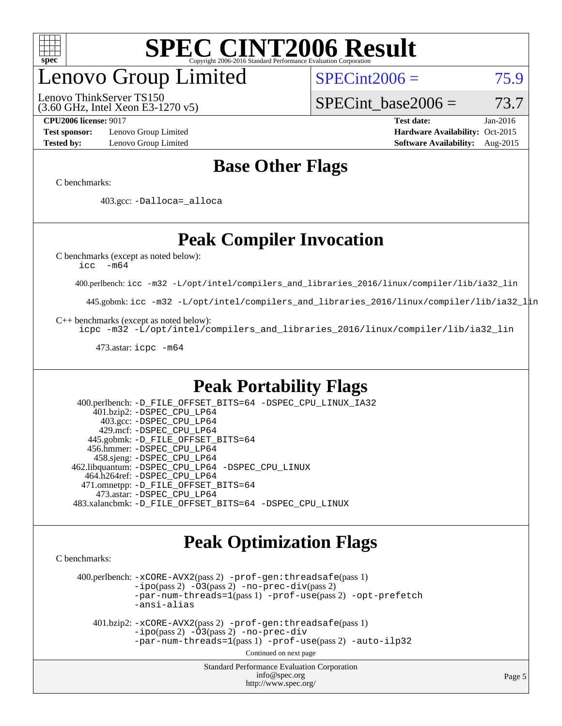

### enovo Group Limited

(3.60 GHz, Intel Xeon E3-1270 v5) Lenovo ThinkServer TS150

 $SPECint2006 = 75.9$  $SPECint2006 = 75.9$ 

SPECint base2006 =  $73.7$ 

**[Test sponsor:](http://www.spec.org/auto/cpu2006/Docs/result-fields.html#Testsponsor)** Lenovo Group Limited **[Hardware Availability:](http://www.spec.org/auto/cpu2006/Docs/result-fields.html#HardwareAvailability)** Oct-2015

**[CPU2006 license:](http://www.spec.org/auto/cpu2006/Docs/result-fields.html#CPU2006license)** 9017 **[Test date:](http://www.spec.org/auto/cpu2006/Docs/result-fields.html#Testdate)** Jan-2016 **[Tested by:](http://www.spec.org/auto/cpu2006/Docs/result-fields.html#Testedby)** Lenovo Group Limited **[Software Availability:](http://www.spec.org/auto/cpu2006/Docs/result-fields.html#SoftwareAvailability)** Aug-2015

### **[Base Other Flags](http://www.spec.org/auto/cpu2006/Docs/result-fields.html#BaseOtherFlags)**

[C benchmarks](http://www.spec.org/auto/cpu2006/Docs/result-fields.html#Cbenchmarks):

403.gcc: [-Dalloca=\\_alloca](http://www.spec.org/cpu2006/results/res2016q1/cpu2006-20160125-38864.flags.html#b403.gcc_baseEXTRA_CFLAGS_Dalloca_be3056838c12de2578596ca5467af7f3)

### **[Peak Compiler Invocation](http://www.spec.org/auto/cpu2006/Docs/result-fields.html#PeakCompilerInvocation)**

[C benchmarks \(except as noted below\)](http://www.spec.org/auto/cpu2006/Docs/result-fields.html#Cbenchmarksexceptasnotedbelow):

[icc -m64](http://www.spec.org/cpu2006/results/res2016q1/cpu2006-20160125-38864.flags.html#user_CCpeak_intel_icc_64bit_f346026e86af2a669e726fe758c88044)

400.perlbench: [icc -m32 -L/opt/intel/compilers\\_and\\_libraries\\_2016/linux/compiler/lib/ia32\\_lin](http://www.spec.org/cpu2006/results/res2016q1/cpu2006-20160125-38864.flags.html#user_peakCCLD400_perlbench_intel_icc_e10256ba5924b668798078a321b0cb3f)

445.gobmk: [icc -m32 -L/opt/intel/compilers\\_and\\_libraries\\_2016/linux/compiler/lib/ia32\\_lin](http://www.spec.org/cpu2006/results/res2016q1/cpu2006-20160125-38864.flags.html#user_peakCCLD445_gobmk_intel_icc_e10256ba5924b668798078a321b0cb3f)

[C++ benchmarks \(except as noted below\):](http://www.spec.org/auto/cpu2006/Docs/result-fields.html#CXXbenchmarksexceptasnotedbelow)

[icpc -m32 -L/opt/intel/compilers\\_and\\_libraries\\_2016/linux/compiler/lib/ia32\\_lin](http://www.spec.org/cpu2006/results/res2016q1/cpu2006-20160125-38864.flags.html#user_CXXpeak_intel_icpc_b4f50a394bdb4597aa5879c16bc3f5c5)

473.astar: [icpc -m64](http://www.spec.org/cpu2006/results/res2016q1/cpu2006-20160125-38864.flags.html#user_peakCXXLD473_astar_intel_icpc_64bit_fc66a5337ce925472a5c54ad6a0de310)

### **[Peak Portability Flags](http://www.spec.org/auto/cpu2006/Docs/result-fields.html#PeakPortabilityFlags)**

 400.perlbench: [-D\\_FILE\\_OFFSET\\_BITS=64](http://www.spec.org/cpu2006/results/res2016q1/cpu2006-20160125-38864.flags.html#user_peakPORTABILITY400_perlbench_file_offset_bits_64_438cf9856305ebd76870a2c6dc2689ab) [-DSPEC\\_CPU\\_LINUX\\_IA32](http://www.spec.org/cpu2006/results/res2016q1/cpu2006-20160125-38864.flags.html#b400.perlbench_peakCPORTABILITY_DSPEC_CPU_LINUX_IA32) 401.bzip2: [-DSPEC\\_CPU\\_LP64](http://www.spec.org/cpu2006/results/res2016q1/cpu2006-20160125-38864.flags.html#suite_peakPORTABILITY401_bzip2_DSPEC_CPU_LP64) 403.gcc: [-DSPEC\\_CPU\\_LP64](http://www.spec.org/cpu2006/results/res2016q1/cpu2006-20160125-38864.flags.html#suite_peakPORTABILITY403_gcc_DSPEC_CPU_LP64) 429.mcf: [-DSPEC\\_CPU\\_LP64](http://www.spec.org/cpu2006/results/res2016q1/cpu2006-20160125-38864.flags.html#suite_peakPORTABILITY429_mcf_DSPEC_CPU_LP64) 445.gobmk: [-D\\_FILE\\_OFFSET\\_BITS=64](http://www.spec.org/cpu2006/results/res2016q1/cpu2006-20160125-38864.flags.html#user_peakPORTABILITY445_gobmk_file_offset_bits_64_438cf9856305ebd76870a2c6dc2689ab) 456.hmmer: [-DSPEC\\_CPU\\_LP64](http://www.spec.org/cpu2006/results/res2016q1/cpu2006-20160125-38864.flags.html#suite_peakPORTABILITY456_hmmer_DSPEC_CPU_LP64) 458.sjeng: [-DSPEC\\_CPU\\_LP64](http://www.spec.org/cpu2006/results/res2016q1/cpu2006-20160125-38864.flags.html#suite_peakPORTABILITY458_sjeng_DSPEC_CPU_LP64) 462.libquantum: [-DSPEC\\_CPU\\_LP64](http://www.spec.org/cpu2006/results/res2016q1/cpu2006-20160125-38864.flags.html#suite_peakPORTABILITY462_libquantum_DSPEC_CPU_LP64) [-DSPEC\\_CPU\\_LINUX](http://www.spec.org/cpu2006/results/res2016q1/cpu2006-20160125-38864.flags.html#b462.libquantum_peakCPORTABILITY_DSPEC_CPU_LINUX) 464.h264ref: [-DSPEC\\_CPU\\_LP64](http://www.spec.org/cpu2006/results/res2016q1/cpu2006-20160125-38864.flags.html#suite_peakPORTABILITY464_h264ref_DSPEC_CPU_LP64) 471.omnetpp: [-D\\_FILE\\_OFFSET\\_BITS=64](http://www.spec.org/cpu2006/results/res2016q1/cpu2006-20160125-38864.flags.html#user_peakPORTABILITY471_omnetpp_file_offset_bits_64_438cf9856305ebd76870a2c6dc2689ab) 473.astar: [-DSPEC\\_CPU\\_LP64](http://www.spec.org/cpu2006/results/res2016q1/cpu2006-20160125-38864.flags.html#suite_peakPORTABILITY473_astar_DSPEC_CPU_LP64) 483.xalancbmk: [-D\\_FILE\\_OFFSET\\_BITS=64](http://www.spec.org/cpu2006/results/res2016q1/cpu2006-20160125-38864.flags.html#user_peakPORTABILITY483_xalancbmk_file_offset_bits_64_438cf9856305ebd76870a2c6dc2689ab) [-DSPEC\\_CPU\\_LINUX](http://www.spec.org/cpu2006/results/res2016q1/cpu2006-20160125-38864.flags.html#b483.xalancbmk_peakCXXPORTABILITY_DSPEC_CPU_LINUX)

### **[Peak Optimization Flags](http://www.spec.org/auto/cpu2006/Docs/result-fields.html#PeakOptimizationFlags)**

[C benchmarks](http://www.spec.org/auto/cpu2006/Docs/result-fields.html#Cbenchmarks):

 400.perlbench: [-xCORE-AVX2](http://www.spec.org/cpu2006/results/res2016q1/cpu2006-20160125-38864.flags.html#user_peakPASS2_CFLAGSPASS2_LDCFLAGS400_perlbench_f-xAVX2_5f5fc0cbe2c9f62c816d3e45806c70d7)(pass 2) [-prof-gen:threadsafe](http://www.spec.org/cpu2006/results/res2016q1/cpu2006-20160125-38864.flags.html#user_peakPASS1_CFLAGSPASS1_LDCFLAGS400_perlbench_prof_gen_21a26eb79f378b550acd7bec9fe4467a)(pass 1)  $-i\text{po}(pass 2) -\tilde{O}3(pass 2)$  [-no-prec-div](http://www.spec.org/cpu2006/results/res2016q1/cpu2006-20160125-38864.flags.html#user_peakPASS2_CFLAGSPASS2_LDCFLAGS400_perlbench_f-no-prec-div)(pass 2) [-par-num-threads=1](http://www.spec.org/cpu2006/results/res2016q1/cpu2006-20160125-38864.flags.html#user_peakPASS1_CFLAGSPASS1_LDCFLAGS400_perlbench_par_num_threads_786a6ff141b4e9e90432e998842df6c2)(pass 1) [-prof-use](http://www.spec.org/cpu2006/results/res2016q1/cpu2006-20160125-38864.flags.html#user_peakPASS2_CFLAGSPASS2_LDCFLAGS400_perlbench_prof_use_bccf7792157ff70d64e32fe3e1250b55)(pass 2) [-opt-prefetch](http://www.spec.org/cpu2006/results/res2016q1/cpu2006-20160125-38864.flags.html#user_peakCOPTIMIZE400_perlbench_f-opt-prefetch) [-ansi-alias](http://www.spec.org/cpu2006/results/res2016q1/cpu2006-20160125-38864.flags.html#user_peakCOPTIMIZE400_perlbench_f-ansi-alias)

 401.bzip2: [-xCORE-AVX2](http://www.spec.org/cpu2006/results/res2016q1/cpu2006-20160125-38864.flags.html#user_peakPASS2_CFLAGSPASS2_LDCFLAGS401_bzip2_f-xAVX2_5f5fc0cbe2c9f62c816d3e45806c70d7)(pass 2) [-prof-gen:threadsafe](http://www.spec.org/cpu2006/results/res2016q1/cpu2006-20160125-38864.flags.html#user_peakPASS1_CFLAGSPASS1_LDCFLAGS401_bzip2_prof_gen_21a26eb79f378b550acd7bec9fe4467a)(pass 1)  $-i\text{po}(pass 2) -\overline{O}3(pass 2)$  [-no-prec-div](http://www.spec.org/cpu2006/results/res2016q1/cpu2006-20160125-38864.flags.html#user_peakCOPTIMIZEPASS2_CFLAGSPASS2_LDCFLAGS401_bzip2_f-no-prec-div) [-par-num-threads=1](http://www.spec.org/cpu2006/results/res2016q1/cpu2006-20160125-38864.flags.html#user_peakPASS1_CFLAGSPASS1_LDCFLAGS401_bzip2_par_num_threads_786a6ff141b4e9e90432e998842df6c2)(pass 1) [-prof-use](http://www.spec.org/cpu2006/results/res2016q1/cpu2006-20160125-38864.flags.html#user_peakPASS2_CFLAGSPASS2_LDCFLAGS401_bzip2_prof_use_bccf7792157ff70d64e32fe3e1250b55)(pass 2) [-auto-ilp32](http://www.spec.org/cpu2006/results/res2016q1/cpu2006-20160125-38864.flags.html#user_peakCOPTIMIZE401_bzip2_f-auto-ilp32)

Continued on next page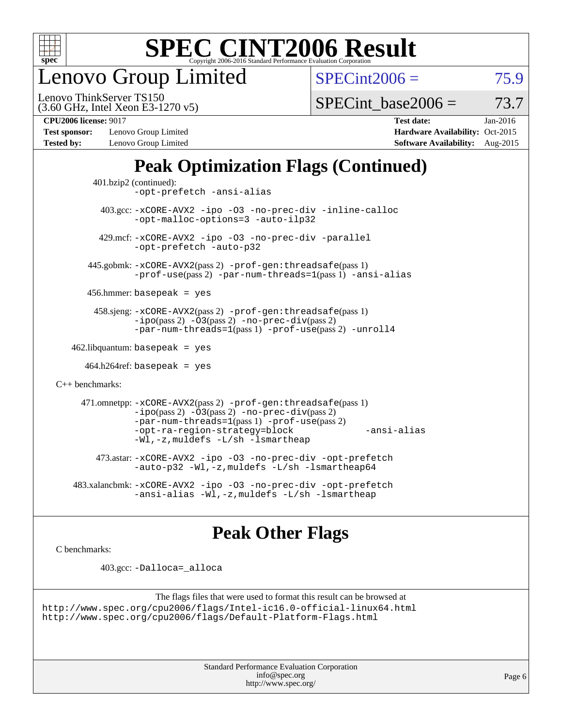

enovo Group Limited

 $SPECint2006 = 75.9$  $SPECint2006 = 75.9$ 

(3.60 GHz, Intel Xeon E3-1270 v5) Lenovo ThinkServer TS150

SPECint base2006 =  $73.7$ 

**[Test sponsor:](http://www.spec.org/auto/cpu2006/Docs/result-fields.html#Testsponsor)** Lenovo Group Limited **[Hardware Availability:](http://www.spec.org/auto/cpu2006/Docs/result-fields.html#HardwareAvailability)** Oct-2015

**[CPU2006 license:](http://www.spec.org/auto/cpu2006/Docs/result-fields.html#CPU2006license)** 9017 **[Test date:](http://www.spec.org/auto/cpu2006/Docs/result-fields.html#Testdate)** Jan-2016 **[Tested by:](http://www.spec.org/auto/cpu2006/Docs/result-fields.html#Testedby)** Lenovo Group Limited **[Software Availability:](http://www.spec.org/auto/cpu2006/Docs/result-fields.html#SoftwareAvailability)** Aug-2015

### **[Peak Optimization Flags \(Continued\)](http://www.spec.org/auto/cpu2006/Docs/result-fields.html#PeakOptimizationFlags)**

```
 401.bzip2 (continued):
                -opt-prefetch -ansi-alias
          403.gcc: -xCORE-AVX2 -ipo -O3 -no-prec-div -inline-calloc
                -opt-malloc-options=3 -auto-ilp32
         429.mcf: -xCORE-AVX2 -ipo -O3 -no-prec-div -parallel
                -opt-prefetch -auto-p32
       445.gobmk: -xCORE-AVX2(pass 2) -prof-gen:threadsafe(pass 1)
                -prof-use(pass 2) -par-num-threads=1(pass 1) -ansi-alias
       456.hmmer: basepeak = yes
        458.sjeng: -xCORE-AVX2(pass 2) -prof-gen:threadsafe(pass 1)
                -i\text{po}(pass 2) -\tilde{O}3(pass 2)-no-prec-div(pass 2)
                -par-num-threads=1(pass 1) -prof-use(pass 2) -unroll4
   462.libquantum: basepeak = yes
     464.h264ref: basepeak = yes
C++ benchmarks: 
      471.omnetpp: -xCORE-AVX2(pass 2) -prof-gen:threadsafe(pass 1)
                -i\text{po}(pass 2) -\overline{O}3(pass 2) -no-\overline{prec}\-div(pass 2)-par-num-threads=1(pass 1) -prof-use(pass 2)
                -opt-ra-region-strategy=block -ansi-alias
                -Wl,-z,muldefs -L/sh -lsmartheap
         473.astar: -xCORE-AVX2 -ipo -O3 -no-prec-div -opt-prefetch
                -auto-p32 -Wl,-z,muldefs -L/sh -lsmartheap64
    483.xalancbmk: -xCORE-AVX2 -ipo -O3 -no-prec-div -opt-prefetch
                -ansi-alias -Wl,-z,muldefs -L/sh -lsmartheap
```
### **[Peak Other Flags](http://www.spec.org/auto/cpu2006/Docs/result-fields.html#PeakOtherFlags)**

[C benchmarks](http://www.spec.org/auto/cpu2006/Docs/result-fields.html#Cbenchmarks):

403.gcc: [-Dalloca=\\_alloca](http://www.spec.org/cpu2006/results/res2016q1/cpu2006-20160125-38864.flags.html#b403.gcc_peakEXTRA_CFLAGS_Dalloca_be3056838c12de2578596ca5467af7f3)

```
The flags files that were used to format this result can be browsed at
http://www.spec.org/cpu2006/flags/Intel-ic16.0-official-linux64.html
http://www.spec.org/cpu2006/flags/Default-Platform-Flags.html
```